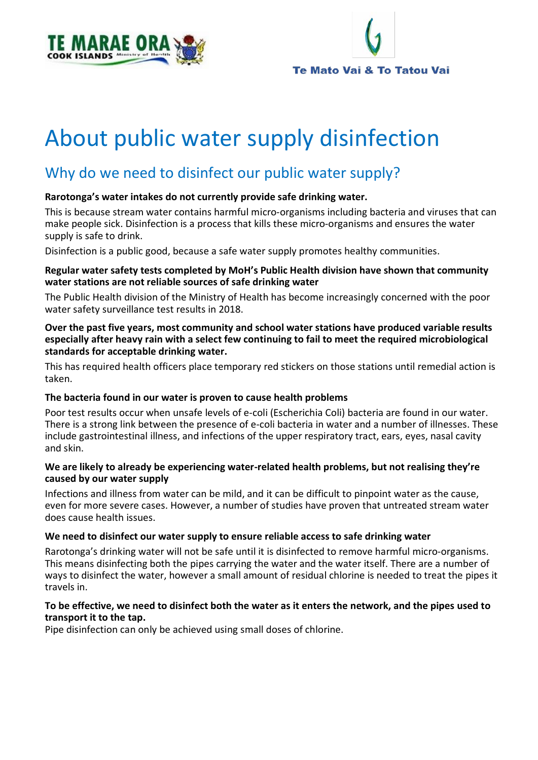



# About public water supply disinfection

# Why do we need to disinfect our public water supply?

#### **Rarotonga's water intakes do not currently provide safe drinking water.**

This is because stream water contains harmful micro-organisms including bacteria and viruses that can make people sick. Disinfection is a process that kills these micro-organisms and ensures the water supply is safe to drink.

Disinfection is a public good, because a safe water supply promotes healthy communities.

#### **Regular water safety tests completed by MoH's Public Health division have shown that community water stations are not reliable sources of safe drinking water**

The Public Health division of the Ministry of Health has become increasingly concerned with the poor water safety surveillance test results in 2018.

#### **Over the past five years, most community and school water stations have produced variable results especially after heavy rain with a select few continuing to fail to meet the required microbiological standards for acceptable drinking water.**

This has required health officers place temporary red stickers on those stations until remedial action is taken.

#### **The bacteria found in our water is proven to cause health problems**

Poor test results occur when unsafe levels of e-coli (Escherichia Coli) bacteria are found in our water. There is a strong link between the presence of e-coli bacteria in water and a number of illnesses. These include gastrointestinal illness, and infections of the upper respiratory tract, ears, eyes, nasal cavity and skin.

#### **We are likely to already be experiencing water-related health problems, but not realising they're caused by our water supply**

Infections and illness from water can be mild, and it can be difficult to pinpoint water as the cause, even for more severe cases. However, a number of studies have proven that untreated stream water does cause health issues.

## **We need to disinfect our water supply to ensure reliable access to safe drinking water**

Rarotonga's drinking water will not be safe until it is disinfected to remove harmful micro-organisms. This means disinfecting both the pipes carrying the water and the water itself. There are a number of ways to disinfect the water, however a small amount of residual chlorine is needed to treat the pipes it travels in.

#### **To be effective, we need to disinfect both the water as it enters the network, and the pipes used to transport it to the tap.**

Pipe disinfection can only be achieved using small doses of chlorine.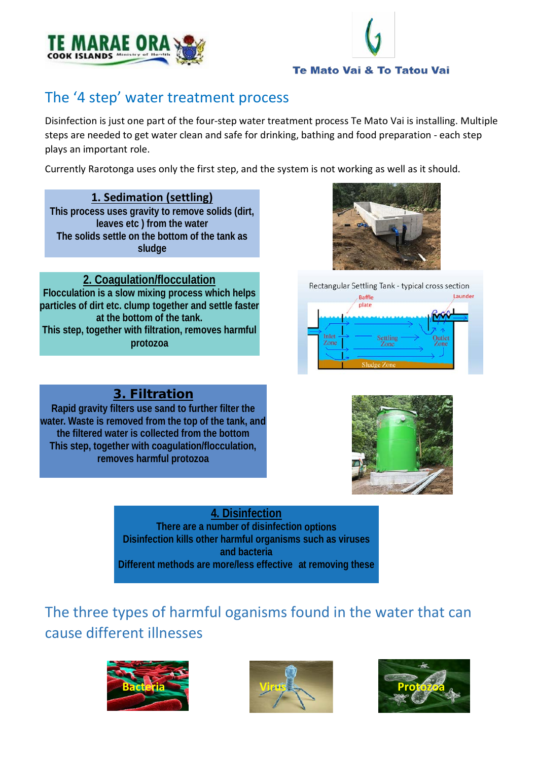



# The '4 step' water treatment process

Disinfection is just one part of the four-step water treatment process Te Mato Vai is installing. Multiple steps are needed to get water clean and safe for drinking, bathing and food preparation - each step plays an important role.

Currently Rarotonga uses only the first step, and the system is not working as well as it should.

# **1. Sedimation (settling)**

**This process uses gravity to remove solids (dirt, leaves etc ) from the water The solids settle on the bottom of the tank as sludge**

# **2. Coagulation/flocculation**

**Flocculation is a slow mixing process which helps particles of dirt etc. clump together and settle faster at the bottom of the tank. This step, together with filtration, removes harmful protozoa**





# 3. Filtration

**Rapid gravity filters use sand to further filter the water. Waste is removed from the top of the tank, and the filtered water is collected from the bottom This step, together with coagulation/flocculation, removes harmful protozoa**



**4. Disinfection There are a number of disinfection options Disinfection kills other harmful organisms such as viruses and bacteria Different methods are more/less effective at removing these**

The three types of harmful oganisms found in the water that can cause different illnesses





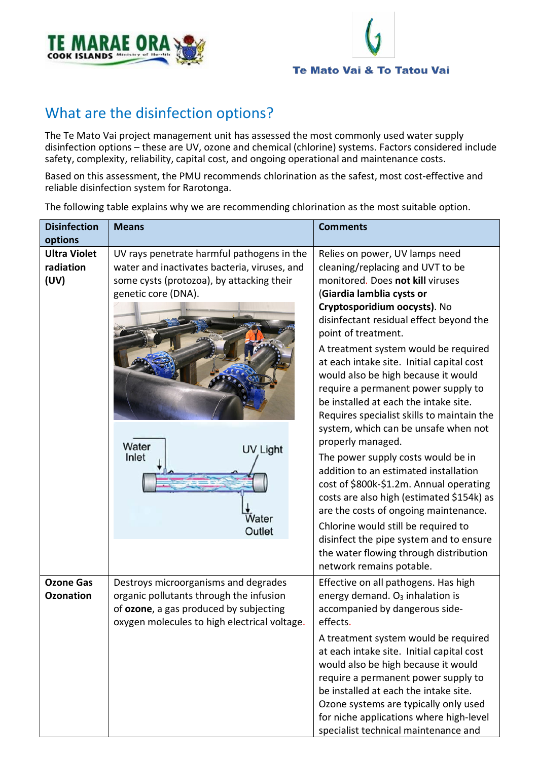



# What are the disinfection options?

The Te Mato Vai project management unit has assessed the most commonly used water supply disinfection options – these are UV, ozone and chemical (chlorine) systems. Factors considered include safety, complexity, reliability, capital cost, and ongoing operational and maintenance costs.

Based on this assessment, the PMU recommends chlorination as the safest, most cost-effective and reliable disinfection system for Rarotonga.

| <b>Disinfection</b><br>options           | <b>Means</b>                                                                                                                                                                                                    | <b>Comments</b>                                                                                                                                                                                                                                                                                                                                                                                                                                                                                                                                                                                                                                                                                                                                                                                                                                                                                          |
|------------------------------------------|-----------------------------------------------------------------------------------------------------------------------------------------------------------------------------------------------------------------|----------------------------------------------------------------------------------------------------------------------------------------------------------------------------------------------------------------------------------------------------------------------------------------------------------------------------------------------------------------------------------------------------------------------------------------------------------------------------------------------------------------------------------------------------------------------------------------------------------------------------------------------------------------------------------------------------------------------------------------------------------------------------------------------------------------------------------------------------------------------------------------------------------|
| <b>Ultra Violet</b><br>radiation<br>(UV) | UV rays penetrate harmful pathogens in the<br>water and inactivates bacteria, viruses, and<br>some cysts (protozoa), by attacking their<br>genetic core (DNA).<br>Water<br>UV Light<br>Inlet<br>Water<br>Outlet | Relies on power, UV lamps need<br>cleaning/replacing and UVT to be<br>monitored. Does not kill viruses<br>(Giardia lamblia cysts or<br>Cryptosporidium oocysts). No<br>disinfectant residual effect beyond the<br>point of treatment.<br>A treatment system would be required<br>at each intake site. Initial capital cost<br>would also be high because it would<br>require a permanent power supply to<br>be installed at each the intake site.<br>Requires specialist skills to maintain the<br>system, which can be unsafe when not<br>properly managed.<br>The power supply costs would be in<br>addition to an estimated installation<br>cost of \$800k-\$1.2m. Annual operating<br>costs are also high (estimated \$154k) as<br>are the costs of ongoing maintenance.<br>Chlorine would still be required to<br>disinfect the pipe system and to ensure<br>the water flowing through distribution |
| <b>Ozone Gas</b><br><b>Ozonation</b>     | Destroys microorganisms and degrades<br>organic pollutants through the infusion<br>of ozone, a gas produced by subjecting<br>oxygen molecules to high electrical voltage.                                       | network remains potable.<br>Effective on all pathogens. Has high<br>energy demand. O <sub>3</sub> inhalation is<br>accompanied by dangerous side-<br>effects.<br>A treatment system would be required<br>at each intake site. Initial capital cost<br>would also be high because it would<br>require a permanent power supply to<br>be installed at each the intake site.<br>Ozone systems are typically only used<br>for niche applications where high-level<br>specialist technical maintenance and                                                                                                                                                                                                                                                                                                                                                                                                    |

The following table explains why we are recommending chlorination as the most suitable option.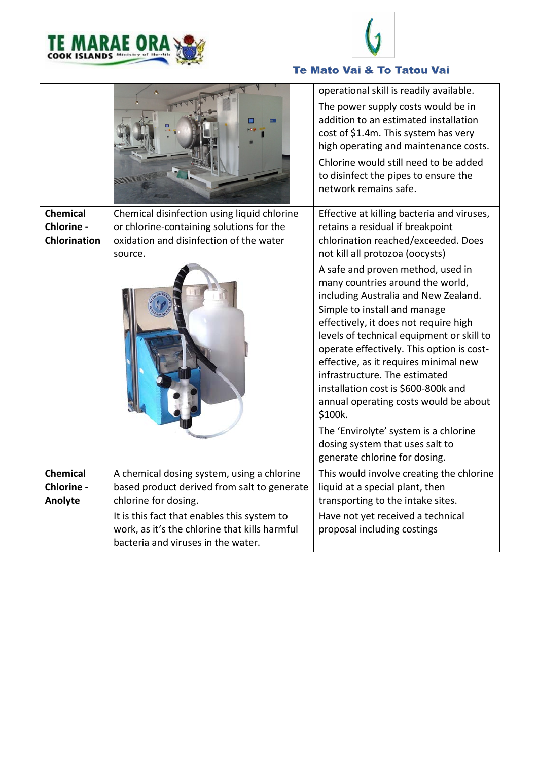



# Te Mato Vai & To Tatou Vai

|                                                      |                                                                                                                                                                                                                                                         | operational skill is readily available.<br>The power supply costs would be in<br>addition to an estimated installation<br>cost of \$1.4m. This system has very<br>high operating and maintenance costs.<br>Chlorine would still need to be added<br>to disinfect the pipes to ensure the<br>network remains safe.                                                                                                                                                                                                                                                                                                                                                                                                              |
|------------------------------------------------------|---------------------------------------------------------------------------------------------------------------------------------------------------------------------------------------------------------------------------------------------------------|--------------------------------------------------------------------------------------------------------------------------------------------------------------------------------------------------------------------------------------------------------------------------------------------------------------------------------------------------------------------------------------------------------------------------------------------------------------------------------------------------------------------------------------------------------------------------------------------------------------------------------------------------------------------------------------------------------------------------------|
| <b>Chemical</b><br>Chlorine -<br><b>Chlorination</b> | Chemical disinfection using liquid chlorine<br>or chlorine-containing solutions for the<br>oxidation and disinfection of the water<br>source.                                                                                                           | Effective at killing bacteria and viruses,<br>retains a residual if breakpoint<br>chlorination reached/exceeded. Does<br>not kill all protozoa (oocysts)<br>A safe and proven method, used in<br>many countries around the world,<br>including Australia and New Zealand.<br>Simple to install and manage<br>effectively, it does not require high<br>levels of technical equipment or skill to<br>operate effectively. This option is cost-<br>effective, as it requires minimal new<br>infrastructure. The estimated<br>installation cost is \$600-800k and<br>annual operating costs would be about<br>\$100k.<br>The 'Envirolyte' system is a chlorine<br>dosing system that uses salt to<br>generate chlorine for dosing. |
| <b>Chemical</b><br>Chlorine -<br>Anolyte             | A chemical dosing system, using a chlorine<br>based product derived from salt to generate<br>chlorine for dosing.<br>It is this fact that enables this system to<br>work, as it's the chlorine that kills harmful<br>bacteria and viruses in the water. | This would involve creating the chlorine<br>liquid at a special plant, then<br>transporting to the intake sites.<br>Have not yet received a technical<br>proposal including costings                                                                                                                                                                                                                                                                                                                                                                                                                                                                                                                                           |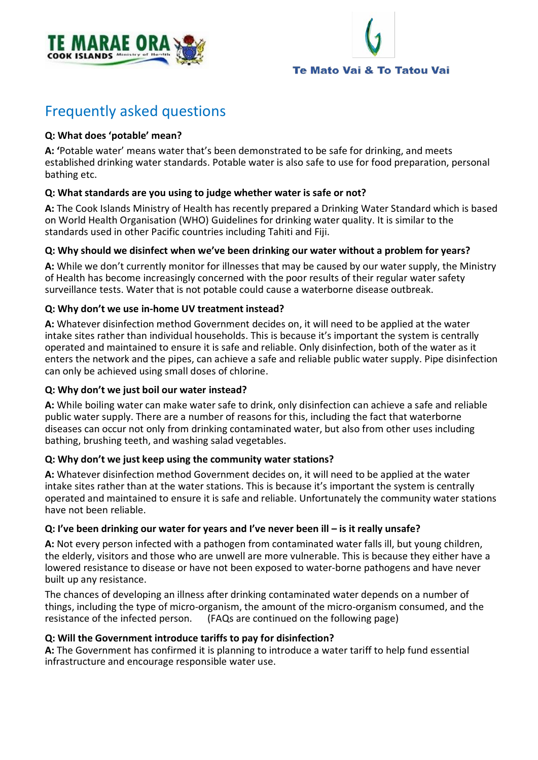



# Frequently asked questions

# **Q: What does 'potable' mean?**

**A: '**Potable water' means water that's been demonstrated to be safe for drinking, and meets established drinking water standards. Potable water is also safe to use for food preparation, personal bathing etc.

# **Q: What standards are you using to judge whether water is safe or not?**

**A:** The Cook Islands Ministry of Health has recently prepared a Drinking Water Standard which is based on World Health Organisation (WHO) Guidelines for drinking water quality. It is similar to the standards used in other Pacific countries including Tahiti and Fiji.

## **Q: Why should we disinfect when we've been drinking our water without a problem for years?**

**A:** While we don't currently monitor for illnesses that may be caused by our water supply, the Ministry of Health has become increasingly concerned with the poor results of their regular water safety surveillance tests. Water that is not potable could cause a waterborne disease outbreak.

# **Q: Why don't we use in-home UV treatment instead?**

**A:** Whatever disinfection method Government decides on, it will need to be applied at the water intake sites rather than individual households. This is because it's important the system is centrally operated and maintained to ensure it is safe and reliable. Only disinfection, both of the water as it enters the network and the pipes, can achieve a safe and reliable public water supply. Pipe disinfection can only be achieved using small doses of chlorine.

# **Q: Why don't we just boil our water instead?**

**A:** While boiling water can make water safe to drink, only disinfection can achieve a safe and reliable public water supply. There are a number of reasons for this, including the fact that waterborne diseases can occur not only from drinking contaminated water, but also from other uses including bathing, brushing teeth, and washing salad vegetables.

## **Q: Why don't we just keep using the community water stations?**

**A:** Whatever disinfection method Government decides on, it will need to be applied at the water intake sites rather than at the water stations. This is because it's important the system is centrally operated and maintained to ensure it is safe and reliable. Unfortunately the community water stations have not been reliable.

## **Q: I've been drinking our water for years and I've never been ill – is it really unsafe?**

**A:** Not every person infected with a pathogen from contaminated water falls ill, but young children, the elderly, visitors and those who are unwell are more vulnerable. This is because they either have a lowered resistance to disease or have not been exposed to water-borne pathogens and have never built up any resistance.

The chances of developing an illness after drinking contaminated water depends on a number of things, including the type of micro-organism, the amount of the micro-organism consumed, and the resistance of the infected person. (FAQs are continued on the following page)

## **Q: Will the Government introduce tariffs to pay for disinfection?**

**A:** The Government has confirmed it is planning to introduce a water tariff to help fund essential infrastructure and encourage responsible water use.